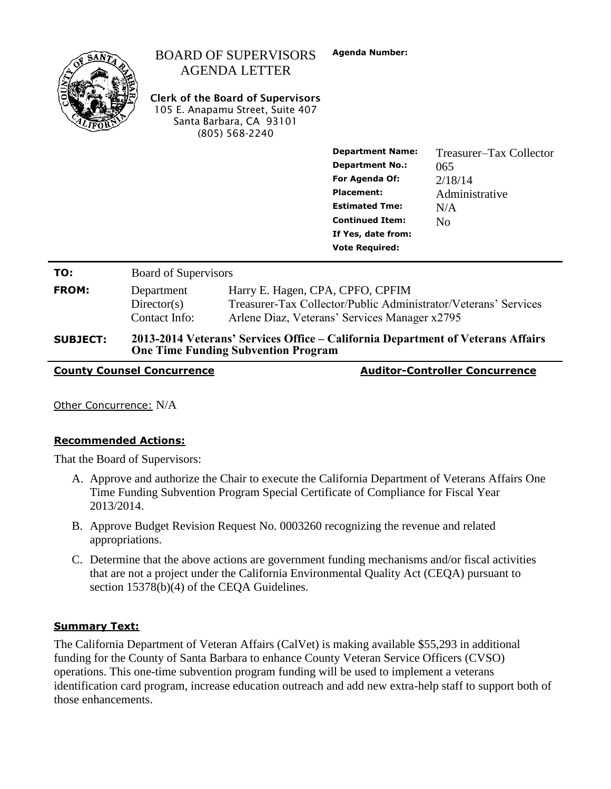|                 |                                                                                                                               | <b>BOARD OF SUPERVISORS</b><br><b>AGENDA LETTER</b><br><b>Clerk of the Board of Supervisors</b><br>105 E. Anapamu Street, Suite 407<br>Santa Barbara, CA 93101<br>(805) 568-2240 | <b>Agenda Number:</b>                                                                                                                                                                      |                                                                                      |  |  |
|-----------------|-------------------------------------------------------------------------------------------------------------------------------|----------------------------------------------------------------------------------------------------------------------------------------------------------------------------------|--------------------------------------------------------------------------------------------------------------------------------------------------------------------------------------------|--------------------------------------------------------------------------------------|--|--|
|                 |                                                                                                                               |                                                                                                                                                                                  | <b>Department Name:</b><br><b>Department No.:</b><br>For Agenda Of:<br><b>Placement:</b><br><b>Estimated Tme:</b><br><b>Continued Item:</b><br>If Yes, date from:<br><b>Vote Required:</b> | Treasurer–Tax Collector<br>065<br>2/18/14<br>Administrative<br>N/A<br>N <sub>0</sub> |  |  |
| TO:             | <b>Board of Supervisors</b>                                                                                                   |                                                                                                                                                                                  |                                                                                                                                                                                            |                                                                                      |  |  |
| <b>FROM:</b>    | Department<br>Directory(s)<br>Contact Info:                                                                                   | Harry E. Hagen, CPA, CPFO, CPFIM<br>Treasurer-Tax Collector/Public Administrator/Veterans' Services<br>Arlene Diaz, Veterans' Services Manager x2795                             |                                                                                                                                                                                            |                                                                                      |  |  |
| <b>SUBJECT:</b> | 2013-2014 Veterans' Services Office – California Department of Veterans Affairs<br><b>One Time Funding Subvention Program</b> |                                                                                                                                                                                  |                                                                                                                                                                                            |                                                                                      |  |  |

**County Counsel Concurrence Auditor-Controller Concurrence**

Other Concurrence: N/A

### **Recommended Actions:**

That the Board of Supervisors:

- A. Approve and authorize the Chair to execute the California Department of Veterans Affairs One Time Funding Subvention Program Special Certificate of Compliance for Fiscal Year 2013/2014.
- B. Approve Budget Revision Request No. 0003260 recognizing the revenue and related appropriations.
- C. Determine that the above actions are government funding mechanisms and/or fiscal activities that are not a project under the California Environmental Quality Act (CEQA) pursuant to section 15378(b)(4) of the CEQA Guidelines.

### **Summary Text:**

The California Department of Veteran Affairs (CalVet) is making available \$55,293 in additional funding for the County of Santa Barbara to enhance County Veteran Service Officers (CVSO) operations. This one-time subvention program funding will be used to implement a veterans identification card program, increase education outreach and add new extra-help staff to support both of those enhancements.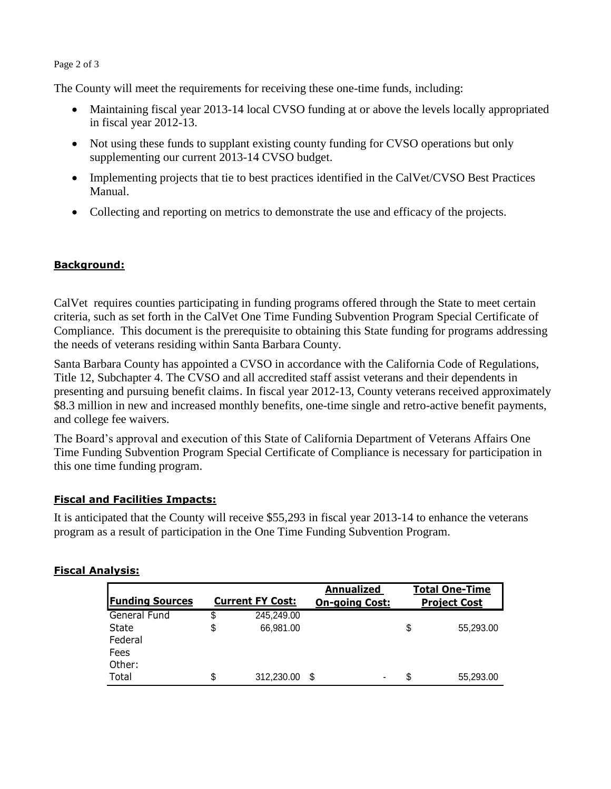## Page 2 of 3

The County will meet the requirements for receiving these one-time funds, including:

- Maintaining fiscal year 2013-14 local CVSO funding at or above the levels locally appropriated in fiscal year 2012-13.
- Not using these funds to supplant existing county funding for CVSO operations but only supplementing our current 2013-14 CVSO budget.
- Implementing projects that tie to best practices identified in the CalVet/CVSO Best Practices Manual.
- Collecting and reporting on metrics to demonstrate the use and efficacy of the projects.

# **Background:**

CalVet requires counties participating in funding programs offered through the State to meet certain criteria, such as set forth in the CalVet One Time Funding Subvention Program Special Certificate of Compliance. This document is the prerequisite to obtaining this State funding for programs addressing the needs of veterans residing within Santa Barbara County.

Santa Barbara County has appointed a CVSO in accordance with the California Code of Regulations, Title 12, Subchapter 4. The CVSO and all accredited staff assist veterans and their dependents in presenting and pursuing benefit claims. In fiscal year 2012-13, County veterans received approximately \$8.3 million in new and increased monthly benefits, one-time single and retro-active benefit payments, and college fee waivers.

The Board's approval and execution of this State of California Department of Veterans Affairs One Time Funding Subvention Program Special Certificate of Compliance is necessary for participation in this one time funding program.

## **Fiscal and Facilities Impacts:**

It is anticipated that the County will receive \$55,293 in fiscal year 2013-14 to enhance the veterans program as a result of participation in the One Time Funding Subvention Program.

| <b>Funding Sources</b> | <b>Current FY Cost:</b> |            | <b>Annualized</b><br><b>On-going Cost:</b> |    | <b>Total One-Time</b><br><b>Project Cost</b> |  |
|------------------------|-------------------------|------------|--------------------------------------------|----|----------------------------------------------|--|
| General Fund           | \$                      | 245,249.00 |                                            |    |                                              |  |
| State                  | \$                      | 66,981.00  |                                            | S  | 55,293.00                                    |  |
| Federal                |                         |            |                                            |    |                                              |  |
| Fees                   |                         |            |                                            |    |                                              |  |
| Other:                 |                         |            |                                            |    |                                              |  |
| Total                  | \$                      | 312,230.00 | ۰                                          | S. | 55,293.00                                    |  |

## **Fiscal Analysis:**